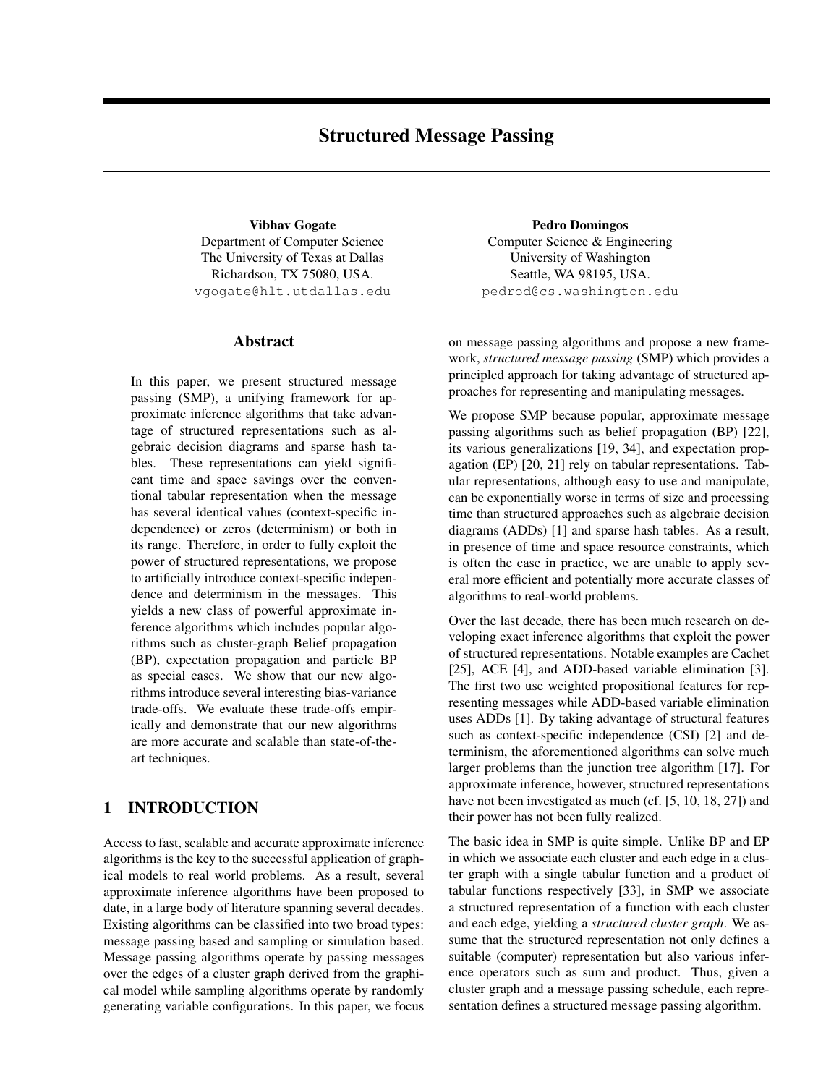# Structured Message Passing

Vibhav Gogate Department of Computer Science The University of Texas at Dallas Richardson, TX 75080, USA. vgogate@hlt.utdallas.edu

## Abstract

In this paper, we present structured message passing (SMP), a unifying framework for approximate inference algorithms that take advantage of structured representations such as algebraic decision diagrams and sparse hash tables. These representations can yield significant time and space savings over the conventional tabular representation when the message has several identical values (context-specific independence) or zeros (determinism) or both in its range. Therefore, in order to fully exploit the power of structured representations, we propose to artificially introduce context-specific independence and determinism in the messages. This yields a new class of powerful approximate inference algorithms which includes popular algorithms such as cluster-graph Belief propagation (BP), expectation propagation and particle BP as special cases. We show that our new algorithms introduce several interesting bias-variance trade-offs. We evaluate these trade-offs empirically and demonstrate that our new algorithms are more accurate and scalable than state-of-theart techniques.

# 1 INTRODUCTION

Access to fast, scalable and accurate approximate inference algorithms is the key to the successful application of graphical models to real world problems. As a result, several approximate inference algorithms have been proposed to date, in a large body of literature spanning several decades. Existing algorithms can be classified into two broad types: message passing based and sampling or simulation based. Message passing algorithms operate by passing messages over the edges of a cluster graph derived from the graphical model while sampling algorithms operate by randomly generating variable configurations. In this paper, we focus

Pedro Domingos Computer Science & Engineering University of Washington Seattle, WA 98195, USA. pedrod@cs.washington.edu

on message passing algorithms and propose a new framework, *structured message passing* (SMP) which provides a principled approach for taking advantage of structured approaches for representing and manipulating messages.

We propose SMP because popular, approximate message passing algorithms such as belief propagation (BP) [22], its various generalizations [19, 34], and expectation propagation (EP) [20, 21] rely on tabular representations. Tabular representations, although easy to use and manipulate, can be exponentially worse in terms of size and processing time than structured approaches such as algebraic decision diagrams (ADDs) [1] and sparse hash tables. As a result, in presence of time and space resource constraints, which is often the case in practice, we are unable to apply several more efficient and potentially more accurate classes of algorithms to real-world problems.

Over the last decade, there has been much research on developing exact inference algorithms that exploit the power of structured representations. Notable examples are Cachet [25], ACE [4], and ADD-based variable elimination [3]. The first two use weighted propositional features for representing messages while ADD-based variable elimination uses ADDs [1]. By taking advantage of structural features such as context-specific independence (CSI) [2] and determinism, the aforementioned algorithms can solve much larger problems than the junction tree algorithm [17]. For approximate inference, however, structured representations have not been investigated as much (cf. [5, 10, 18, 27]) and their power has not been fully realized.

The basic idea in SMP is quite simple. Unlike BP and EP in which we associate each cluster and each edge in a cluster graph with a single tabular function and a product of tabular functions respectively [33], in SMP we associate a structured representation of a function with each cluster and each edge, yielding a *structured cluster graph*. We assume that the structured representation not only defines a suitable (computer) representation but also various inference operators such as sum and product. Thus, given a cluster graph and a message passing schedule, each representation defines a structured message passing algorithm.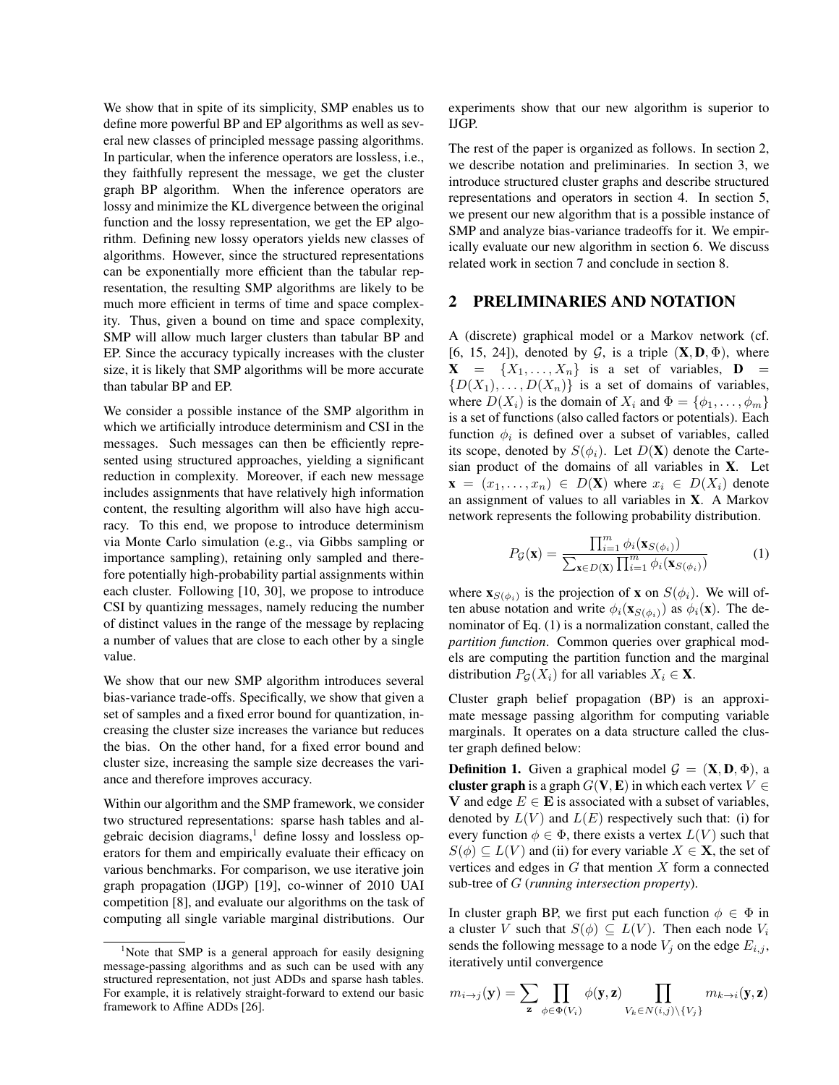We show that in spite of its simplicity, SMP enables us to define more powerful BP and EP algorithms as well as several new classes of principled message passing algorithms. In particular, when the inference operators are lossless, i.e., they faithfully represent the message, we get the cluster graph BP algorithm. When the inference operators are lossy and minimize the KL divergence between the original function and the lossy representation, we get the EP algorithm. Defining new lossy operators yields new classes of algorithms. However, since the structured representations can be exponentially more efficient than the tabular representation, the resulting SMP algorithms are likely to be much more efficient in terms of time and space complexity. Thus, given a bound on time and space complexity, SMP will allow much larger clusters than tabular BP and EP. Since the accuracy typically increases with the cluster size, it is likely that SMP algorithms will be more accurate than tabular BP and EP.

We consider a possible instance of the SMP algorithm in which we artificially introduce determinism and CSI in the messages. Such messages can then be efficiently represented using structured approaches, yielding a significant reduction in complexity. Moreover, if each new message includes assignments that have relatively high information content, the resulting algorithm will also have high accuracy. To this end, we propose to introduce determinism via Monte Carlo simulation (e.g., via Gibbs sampling or importance sampling), retaining only sampled and therefore potentially high-probability partial assignments within each cluster. Following [10, 30], we propose to introduce CSI by quantizing messages, namely reducing the number of distinct values in the range of the message by replacing a number of values that are close to each other by a single value.

We show that our new SMP algorithm introduces several bias-variance trade-offs. Specifically, we show that given a set of samples and a fixed error bound for quantization, increasing the cluster size increases the variance but reduces the bias. On the other hand, for a fixed error bound and cluster size, increasing the sample size decreases the variance and therefore improves accuracy.

Within our algorithm and the SMP framework, we consider two structured representations: sparse hash tables and algebraic decision diagrams,<sup>1</sup> define lossy and lossless operators for them and empirically evaluate their efficacy on various benchmarks. For comparison, we use iterative join graph propagation (IJGP) [19], co-winner of 2010 UAI competition [8], and evaluate our algorithms on the task of computing all single variable marginal distributions. Our

experiments show that our new algorithm is superior to IJGP.

The rest of the paper is organized as follows. In section 2, we describe notation and preliminaries. In section 3, we introduce structured cluster graphs and describe structured representations and operators in section 4. In section 5, we present our new algorithm that is a possible instance of SMP and analyze bias-variance tradeoffs for it. We empirically evaluate our new algorithm in section 6. We discuss related work in section 7 and conclude in section 8.

## 2 PRELIMINARIES AND NOTATION

A (discrete) graphical model or a Markov network (cf. [6, 15, 24]), denoted by  $G$ , is a triple  $(X, D, \Phi)$ , where  $X = \{X_1, \ldots, X_n\}$  is a set of variables,  $D =$  ${D(X_1), \ldots, D(X_n)}$  is a set of domains of variables, where  $D(X_i)$  is the domain of  $X_i$  and  $\Phi = {\phi_1, \ldots, \phi_m}$ is a set of functions (also called factors or potentials). Each function  $\phi_i$  is defined over a subset of variables, called its scope, denoted by  $S(\phi_i)$ . Let  $D(\mathbf{X})$  denote the Cartesian product of the domains of all variables in X. Let  $\mathbf{x} = (x_1, \ldots, x_n) \in D(\mathbf{X})$  where  $x_i \in D(X_i)$  denote an assignment of values to all variables in X. A Markov network represents the following probability distribution.

$$
P_{\mathcal{G}}(\mathbf{x}) = \frac{\prod_{i=1}^{m} \phi_i(\mathbf{x}_{S(\phi_i)})}{\sum_{\mathbf{x} \in D(\mathbf{X})} \prod_{i=1}^{m} \phi_i(\mathbf{x}_{S(\phi_i)})}
$$
(1)

where  $\mathbf{x}_{S(\phi_i)}$  is the projection of **x** on  $S(\phi_i)$ . We will often abuse notation and write  $\phi_i(\mathbf{x}_{S(\phi_i)})$  as  $\phi_i(\mathbf{x})$ . The denominator of Eq. (1) is a normalization constant, called the *partition function*. Common queries over graphical models are computing the partition function and the marginal distribution  $P_G(X_i)$  for all variables  $X_i \in \mathbf{X}$ .

Cluster graph belief propagation (BP) is an approximate message passing algorithm for computing variable marginals. It operates on a data structure called the cluster graph defined below:

**Definition 1.** Given a graphical model  $\mathcal{G} = (\mathbf{X}, \mathbf{D}, \Phi)$ , a cluster graph is a graph  $G(V, E)$  in which each vertex  $V \in$ V and edge  $E \in \mathbf{E}$  is associated with a subset of variables, denoted by  $L(V)$  and  $L(E)$  respectively such that: (i) for every function  $\phi \in \Phi$ , there exists a vertex  $L(V)$  such that  $S(\phi) \subseteq L(V)$  and (ii) for every variable  $X \in \mathbf{X}$ , the set of vertices and edges in  $G$  that mention  $X$  form a connected sub-tree of G (*running intersection property*).

In cluster graph BP, we first put each function  $\phi \in \Phi$  in a cluster V such that  $S(\phi) \subseteq L(V)$ . Then each node  $V_i$ sends the following message to a node  $V_j$  on the edge  $E_{i,j}$ , iteratively until convergence

$$
m_{i\to j}(\mathbf{y}) = \sum_{\mathbf{z}} \prod_{\phi \in \Phi(V_i)} \phi(\mathbf{y}, \mathbf{z}) \prod_{V_k \in N(i,j) \setminus \{V_j\}} m_{k \to i}(\mathbf{y}, \mathbf{z})
$$

<sup>&</sup>lt;sup>1</sup>Note that SMP is a general approach for easily designing message-passing algorithms and as such can be used with any structured representation, not just ADDs and sparse hash tables. For example, it is relatively straight-forward to extend our basic framework to Affine ADDs [26].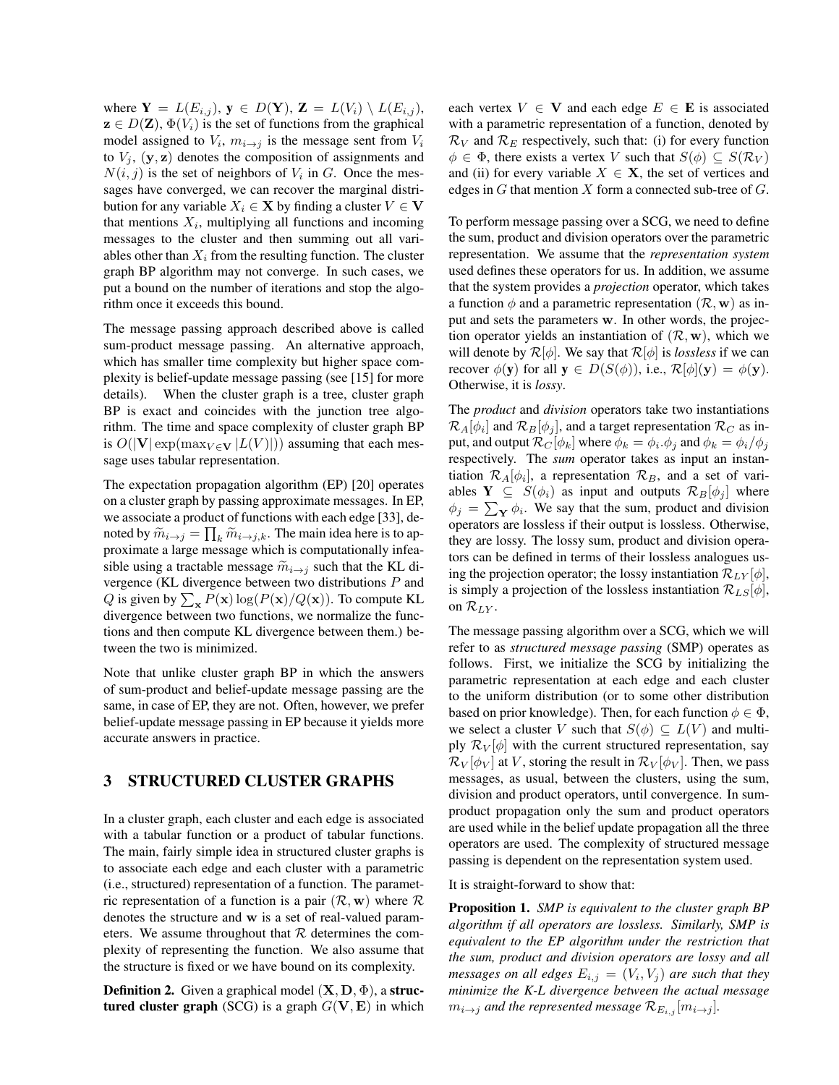where  $Y = L(E_{i,j}), y \in D(Y), Z = L(V_i) \setminus L(E_{i,j}),$  $z \in D(\mathbf{Z}), \Phi(V_i)$  is the set of functions from the graphical model assigned to  $V_i$ ,  $m_{i\rightarrow j}$  is the message sent from  $V_i$ to  $V_j$ ,  $(\mathbf{y}, \mathbf{z})$  denotes the composition of assignments and  $N(i, j)$  is the set of neighbors of  $V_i$  in G. Once the messages have converged, we can recover the marginal distribution for any variable  $X_i \in \mathbf{X}$  by finding a cluster  $V \in \mathbf{V}$ that mentions  $X_i$ , multiplying all functions and incoming messages to the cluster and then summing out all variables other than  $X_i$  from the resulting function. The cluster graph BP algorithm may not converge. In such cases, we put a bound on the number of iterations and stop the algorithm once it exceeds this bound.

The message passing approach described above is called sum-product message passing. An alternative approach, which has smaller time complexity but higher space complexity is belief-update message passing (see [15] for more details). When the cluster graph is a tree, cluster graph BP is exact and coincides with the junction tree algorithm. The time and space complexity of cluster graph BP is  $O(|V| \exp(\max_{V \in V} |L(V)|))$  assuming that each message uses tabular representation.

The expectation propagation algorithm (EP) [20] operates on a cluster graph by passing approximate messages. In EP, we associate a product of functions with each edge [33], denoted by  $\widetilde{m}_{i\to j} = \prod_k \widetilde{m}_{i\to j,k}$ . The main idea here is to approximate a large message which is computationally infeq. proximate a large message which is computationally infeasible using a tractable message  $\widetilde{m}_{i\rightarrow j}$  such that the KL divergence (KL divergence between two distributions P and Q is given by  $\sum_{\mathbf{x}} P(\mathbf{x}) \log(P(\mathbf{x})/Q(\mathbf{x}))$ . To compute KL divergence between two functions, we normalize the functions and then compute KL divergence between them.) between the two is minimized.

Note that unlike cluster graph BP in which the answers of sum-product and belief-update message passing are the same, in case of EP, they are not. Often, however, we prefer belief-update message passing in EP because it yields more accurate answers in practice.

## 3 STRUCTURED CLUSTER GRAPHS

In a cluster graph, each cluster and each edge is associated with a tabular function or a product of tabular functions. The main, fairly simple idea in structured cluster graphs is to associate each edge and each cluster with a parametric (i.e., structured) representation of a function. The parametric representation of a function is a pair  $(\mathcal{R}, \mathbf{w})$  where  $\mathcal{R}$ denotes the structure and w is a set of real-valued parameters. We assume throughout that  $R$  determines the complexity of representing the function. We also assume that the structure is fixed or we have bound on its complexity.

**Definition 2.** Given a graphical model  $(X, D, \Phi)$ , a structured cluster graph (SCG) is a graph  $G(V, E)$  in which each vertex  $V \in V$  and each edge  $E \in E$  is associated with a parametric representation of a function, denoted by  $\mathcal{R}_V$  and  $\mathcal{R}_E$  respectively, such that: (i) for every function  $\phi \in \Phi$ , there exists a vertex V such that  $S(\phi) \subseteq S(\mathcal{R}_V)$ and (ii) for every variable  $X \in \mathbf{X}$ , the set of vertices and edges in  $G$  that mention  $X$  form a connected sub-tree of  $G$ .

To perform message passing over a SCG, we need to define the sum, product and division operators over the parametric representation. We assume that the *representation system* used defines these operators for us. In addition, we assume that the system provides a *projection* operator, which takes a function  $\phi$  and a parametric representation  $(\mathcal{R}, \mathbf{w})$  as input and sets the parameters w. In other words, the projection operator yields an instantiation of  $(\mathcal{R}, \mathbf{w})$ , which we will denote by  $\mathcal{R}[\phi]$ . We say that  $\mathcal{R}[\phi]$  is *lossless* if we can recover  $\phi(\mathbf{y})$  for all  $\mathbf{y} \in D(S(\phi))$ , i.e.,  $\mathcal{R}[\phi](\mathbf{y}) = \phi(\mathbf{y})$ . Otherwise, it is *lossy*.

The *product* and *division* operators take two instantiations  $\mathcal{R}_A[\phi_i]$  and  $\mathcal{R}_B[\phi_j]$ , and a target representation  $\mathcal{R}_C$  as input, and output  $\mathcal{R}_C[\phi_k]$  where  $\phi_k = \phi_i.\phi_j$  and  $\phi_k = \phi_i/\phi_j$ respectively. The *sum* operator takes as input an instantiation  $\mathcal{R}_A[\phi_i]$ , a representation  $\mathcal{R}_B$ , and a set of variables  $\mathbf{Y} \subseteq S(\phi_i)$  as input and outputs  $\mathcal{R}_B[\phi_i]$  where  $\phi_j = \sum_{\mathbf{Y}} \phi_i$ . We say that the sum, product and division operators are lossless if their output is lossless. Otherwise, they are lossy. The lossy sum, product and division operators can be defined in terms of their lossless analogues using the projection operator; the lossy instantiation  $\mathcal{R}_{LY}[\phi],$ is simply a projection of the lossless instantiation  $\mathcal{R}_{LS}[\phi],$ on  $\mathcal{R}_{LY}$ .

The message passing algorithm over a SCG, which we will refer to as *structured message passing* (SMP) operates as follows. First, we initialize the SCG by initializing the parametric representation at each edge and each cluster to the uniform distribution (or to some other distribution based on prior knowledge). Then, for each function  $\phi \in \Phi$ , we select a cluster V such that  $S(\phi) \subseteq L(V)$  and multiply  $\mathcal{R}_V[\phi]$  with the current structured representation, say  $\mathcal{R}_V[\phi_V]$  at V, storing the result in  $\mathcal{R}_V[\phi_V]$ . Then, we pass messages, as usual, between the clusters, using the sum, division and product operators, until convergence. In sumproduct propagation only the sum and product operators are used while in the belief update propagation all the three operators are used. The complexity of structured message passing is dependent on the representation system used.

It is straight-forward to show that:

Proposition 1. *SMP is equivalent to the cluster graph BP algorithm if all operators are lossless. Similarly, SMP is equivalent to the EP algorithm under the restriction that the sum, product and division operators are lossy and all* messages on all edges  $E_{i,j} = (V_i, V_j)$  are such that they *minimize the K-L divergence between the actual message*  $m_{i\rightarrow j}$  *and the represented message*  $\mathcal{R}_{E_{i,j}}[m_{i\rightarrow j}]$ *.*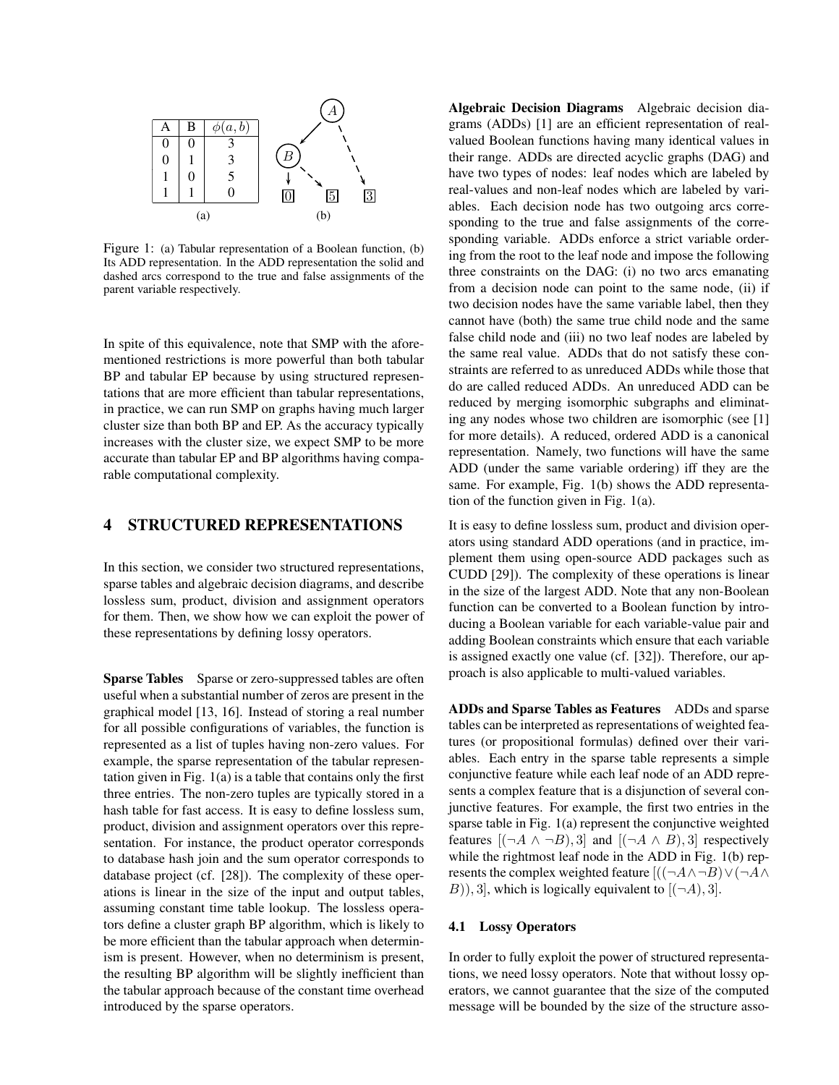

Figure 1: (a) Tabular representation of a Boolean function, (b) Its ADD representation. In the ADD representation the solid and dashed arcs correspond to the true and false assignments of the parent variable respectively.

In spite of this equivalence, note that SMP with the aforementioned restrictions is more powerful than both tabular BP and tabular EP because by using structured representations that are more efficient than tabular representations, in practice, we can run SMP on graphs having much larger cluster size than both BP and EP. As the accuracy typically increases with the cluster size, we expect SMP to be more accurate than tabular EP and BP algorithms having comparable computational complexity.

### 4 STRUCTURED REPRESENTATIONS

In this section, we consider two structured representations, sparse tables and algebraic decision diagrams, and describe lossless sum, product, division and assignment operators for them. Then, we show how we can exploit the power of these representations by defining lossy operators.

Sparse Tables Sparse or zero-suppressed tables are often useful when a substantial number of zeros are present in the graphical model [13, 16]. Instead of storing a real number for all possible configurations of variables, the function is represented as a list of tuples having non-zero values. For example, the sparse representation of the tabular representation given in Fig. 1(a) is a table that contains only the first three entries. The non-zero tuples are typically stored in a hash table for fast access. It is easy to define lossless sum, product, division and assignment operators over this representation. For instance, the product operator corresponds to database hash join and the sum operator corresponds to database project (cf. [28]). The complexity of these operations is linear in the size of the input and output tables, assuming constant time table lookup. The lossless operators define a cluster graph BP algorithm, which is likely to be more efficient than the tabular approach when determinism is present. However, when no determinism is present, the resulting BP algorithm will be slightly inefficient than the tabular approach because of the constant time overhead introduced by the sparse operators.

Algebraic Decision Diagrams Algebraic decision diagrams (ADDs) [1] are an efficient representation of realvalued Boolean functions having many identical values in their range. ADDs are directed acyclic graphs (DAG) and have two types of nodes: leaf nodes which are labeled by real-values and non-leaf nodes which are labeled by variables. Each decision node has two outgoing arcs corresponding to the true and false assignments of the corresponding variable. ADDs enforce a strict variable ordering from the root to the leaf node and impose the following three constraints on the DAG: (i) no two arcs emanating from a decision node can point to the same node, (ii) if two decision nodes have the same variable label, then they cannot have (both) the same true child node and the same false child node and (iii) no two leaf nodes are labeled by the same real value. ADDs that do not satisfy these constraints are referred to as unreduced ADDs while those that do are called reduced ADDs. An unreduced ADD can be reduced by merging isomorphic subgraphs and eliminating any nodes whose two children are isomorphic (see [1] for more details). A reduced, ordered ADD is a canonical representation. Namely, two functions will have the same ADD (under the same variable ordering) iff they are the same. For example, Fig. 1(b) shows the ADD representation of the function given in Fig. 1(a).

It is easy to define lossless sum, product and division operators using standard ADD operations (and in practice, implement them using open-source ADD packages such as CUDD [29]). The complexity of these operations is linear in the size of the largest ADD. Note that any non-Boolean function can be converted to a Boolean function by introducing a Boolean variable for each variable-value pair and adding Boolean constraints which ensure that each variable is assigned exactly one value (cf. [32]). Therefore, our approach is also applicable to multi-valued variables.

ADDs and Sparse Tables as Features ADDs and sparse tables can be interpreted as representations of weighted features (or propositional formulas) defined over their variables. Each entry in the sparse table represents a simple conjunctive feature while each leaf node of an ADD represents a complex feature that is a disjunction of several conjunctive features. For example, the first two entries in the sparse table in Fig. 1(a) represent the conjunctive weighted features  $[ (\neg A \land \neg B), 3]$  and  $[ (\neg A \land B), 3]$  respectively while the rightmost leaf node in the ADD in Fig. 1(b) represents the complex weighted feature  $[(\neg A \wedge \neg B) \vee (\neg A \wedge$  $B$ )), 3], which is logically equivalent to  $[(-A), 3]$ .

### 4.1 Lossy Operators

In order to fully exploit the power of structured representations, we need lossy operators. Note that without lossy operators, we cannot guarantee that the size of the computed message will be bounded by the size of the structure asso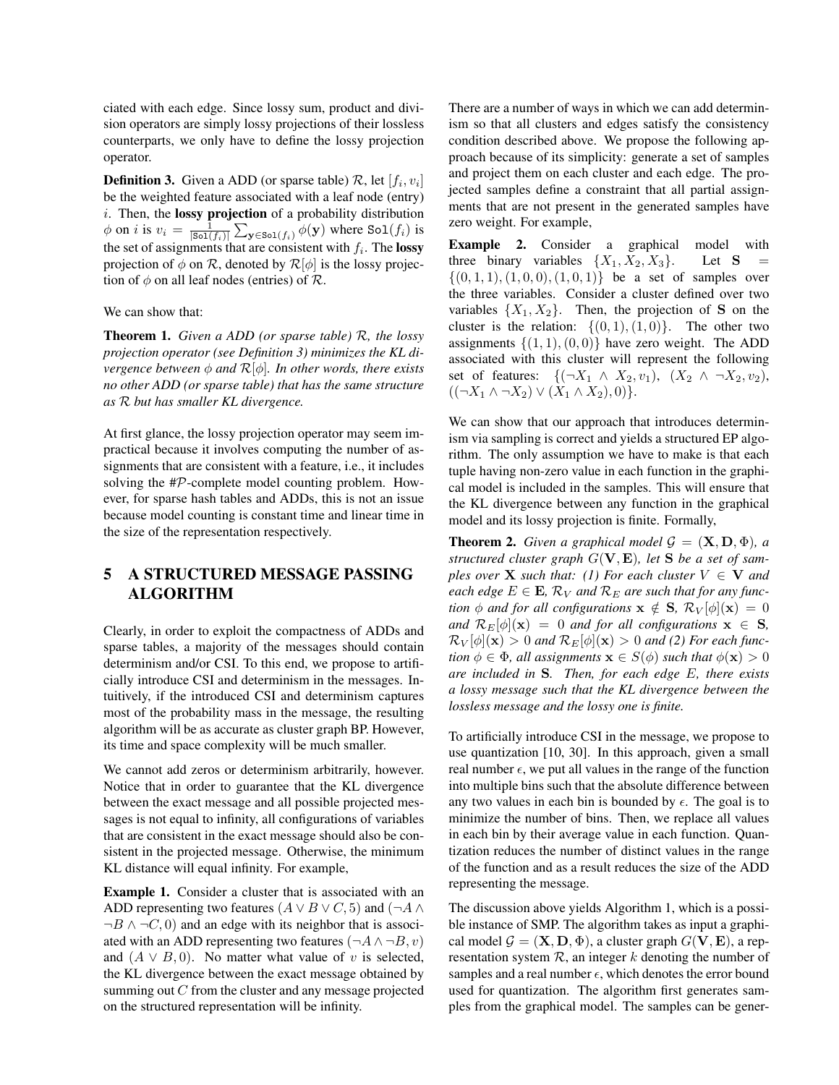ciated with each edge. Since lossy sum, product and division operators are simply lossy projections of their lossless counterparts, we only have to define the lossy projection operator.

**Definition 3.** Given a ADD (or sparse table)  $\mathcal{R}$ , let  $[f_i, v_i]$ be the weighted feature associated with a leaf node (entry)  $i$ . Then, the **lossy projection** of a probability distribution  $\phi$  on *i* is  $v_i = \frac{1}{|\text{Sol}(f_i)|} \sum_{\mathbf{y} \in \text{Sol}(f_i)} \phi(\mathbf{y})$  where  $\text{Sol}(f_i)$  is the set of assignments that are consistent with  $f_i$ . The **lossy** projection of  $\phi$  on  $\mathcal{R}$ , denoted by  $\mathcal{R}[\phi]$  is the lossy projection of  $\phi$  on all leaf nodes (entries) of  $\mathcal{R}$ .

We can show that:

Theorem 1. *Given a ADD (or sparse table)* R*, the lossy projection operator (see Definition 3) minimizes the KL divergence between*  $\phi$  *and*  $\mathcal{R}[\phi]$ *. In other words, there exists no other ADD (or sparse table) that has the same structure as* R *but has smaller KL divergence.*

At first glance, the lossy projection operator may seem impractical because it involves computing the number of assignments that are consistent with a feature, i.e., it includes solving the #P-complete model counting problem. However, for sparse hash tables and ADDs, this is not an issue because model counting is constant time and linear time in the size of the representation respectively.

# 5 A STRUCTURED MESSAGE PASSING ALGORITHM

Clearly, in order to exploit the compactness of ADDs and sparse tables, a majority of the messages should contain determinism and/or CSI. To this end, we propose to artificially introduce CSI and determinism in the messages. Intuitively, if the introduced CSI and determinism captures most of the probability mass in the message, the resulting algorithm will be as accurate as cluster graph BP. However, its time and space complexity will be much smaller.

We cannot add zeros or determinism arbitrarily, however. Notice that in order to guarantee that the KL divergence between the exact message and all possible projected messages is not equal to infinity, all configurations of variables that are consistent in the exact message should also be consistent in the projected message. Otherwise, the minimum KL distance will equal infinity. For example,

Example 1. Consider a cluster that is associated with an ADD representing two features ( $A \vee B \vee C$ , 5) and ( $\neg A \wedge$  $\neg B \land \neg C, 0$  and an edge with its neighbor that is associ-ated with an ADD representing two features ( $\neg A \land \neg B, v$ ) and  $(A \vee B, 0)$ . No matter what value of v is selected, the KL divergence between the exact message obtained by summing out C from the cluster and any message projected on the structured representation will be infinity.

There are a number of ways in which we can add determinism so that all clusters and edges satisfy the consistency condition described above. We propose the following approach because of its simplicity: generate a set of samples and project them on each cluster and each edge. The projected samples define a constraint that all partial assignments that are not present in the generated samples have zero weight. For example,

Example 2. Consider a graphical model with three binary variables  $\{X_1, X_2, X_3\}$ . Let **S**  $\{(0, 1, 1), (1, 0, 0), (1, 0, 1)\}\$  be a set of samples over the three variables. Consider a cluster defined over two variables  $\{X_1, X_2\}$ . Then, the projection of **S** on the cluster is the relation:  $\{(0, 1), (1, 0)\}.$  The other two assignments  $\{(1, 1), (0, 0)\}\$  have zero weight. The ADD associated with this cluster will represent the following set of features:  $\{(\neg X_1 \land X_2, v_1), (X_2 \land \neg X_2, v_2),$  $((\neg X_1 \land \neg X_2) \lor (X_1 \land X_2), 0).$ 

We can show that our approach that introduces determinism via sampling is correct and yields a structured EP algorithm. The only assumption we have to make is that each tuple having non-zero value in each function in the graphical model is included in the samples. This will ensure that the KL divergence between any function in the graphical model and its lossy projection is finite. Formally,

**Theorem 2.** *Given a graphical model*  $\mathcal{G} = (\mathbf{X}, \mathbf{D}, \Phi)$ *, a structured cluster graph* G(V, E)*, let* S *be a set of samples over* **X** *such that:* (1) For each cluster  $V \in V$  *and each edge*  $E \in \mathbf{E}$ ,  $\mathcal{R}_V$  *and*  $\mathcal{R}_E$  *are such that for any function*  $\phi$  *and for all configurations*  $\mathbf{x} \notin \mathbf{S}$ ,  $\mathcal{R}_V[\phi](\mathbf{x}) = 0$ *and*  $\mathcal{R}_E[\phi](\mathbf{x}) = 0$  *and for all configurations*  $\mathbf{x} \in \mathbf{S}$ *,*  $\mathcal{R}_V[\phi](\mathbf{x}) > 0$  and  $\mathcal{R}_E[\phi](\mathbf{x}) > 0$  and (2) For each func*tion*  $\phi \in \Phi$ *, all assignments*  $\mathbf{x} \in S(\phi)$  *such that*  $\phi(\mathbf{x}) > 0$ *are included in* S*. Then, for each edge* E*, there exists a lossy message such that the KL divergence between the lossless message and the lossy one is finite.*

To artificially introduce CSI in the message, we propose to use quantization [10, 30]. In this approach, given a small real number  $\epsilon$ , we put all values in the range of the function into multiple bins such that the absolute difference between any two values in each bin is bounded by  $\epsilon$ . The goal is to minimize the number of bins. Then, we replace all values in each bin by their average value in each function. Quantization reduces the number of distinct values in the range of the function and as a result reduces the size of the ADD representing the message.

The discussion above yields Algorithm 1, which is a possible instance of SMP. The algorithm takes as input a graphical model  $\mathcal{G} = (\mathbf{X}, \mathbf{D}, \Phi)$ , a cluster graph  $G(\mathbf{V}, \mathbf{E})$ , a representation system  $R$ , an integer k denoting the number of samples and a real number  $\epsilon$ , which denotes the error bound used for quantization. The algorithm first generates samples from the graphical model. The samples can be gener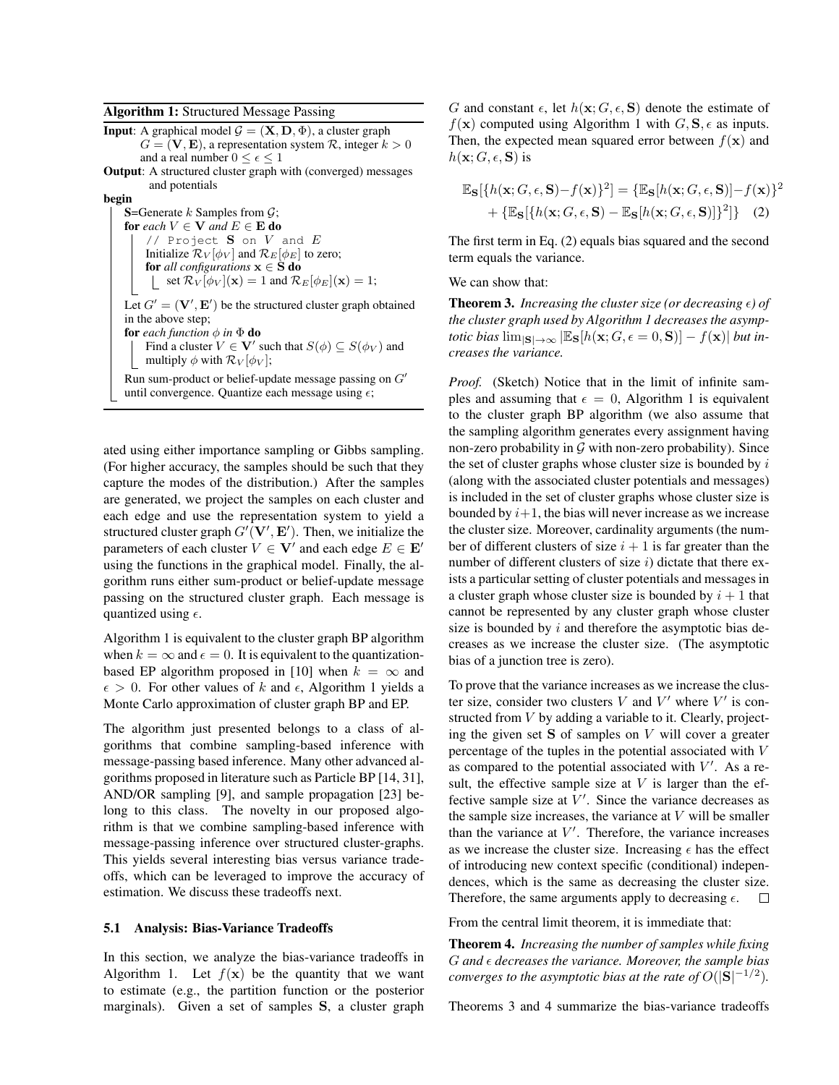Algorithm 1: Structured Message Passing

**Input:** A graphical model  $\mathcal{G} = (\mathbf{X}, \mathbf{D}, \Phi)$ , a cluster graph  $G = (\mathbf{V}, \mathbf{E})$ , a representation system  $\mathcal{R}$ , integer  $k > 0$ and a real number  $0 \leq \epsilon \leq 1$ 

Output: A structured cluster graph with (converged) messages and potentials

#### begin

S=Generate  $k$  Samples from  $\mathcal{G}$ ; for *each*  $V \in V$  *and*  $E \in E$  **do** // Project  $S$  on  $V$  and  $E$ Initialize  $\mathcal{R}_V[\phi_V]$  and  $\mathcal{R}_E[\phi_E]$  to zero; for *all configurations*  $x \in S$  do  $\int$  set  $\mathcal{R}_V[\phi_V](\mathbf{x}) = 1$  and  $\mathcal{R}_E[\phi_E](\mathbf{x}) = 1$ ; Let  $G' = (\mathbf{V}', \mathbf{E}')$  be the structured cluster graph obtained in the above step;

**for** *each function*  $\phi$  *in*  $\Phi$  **do** Find a cluster  $V \in V'$  such that  $S(\phi) \subseteq S(\phi_V)$  and

multiply  $\phi$  with  $\mathcal{R}_V[\phi_V];$ 

Run sum-product or belief-update message passing on  $G'$ until convergence. Quantize each message using  $\epsilon$ ;

ated using either importance sampling or Gibbs sampling. (For higher accuracy, the samples should be such that they capture the modes of the distribution.) After the samples are generated, we project the samples on each cluster and each edge and use the representation system to yield a structured cluster graph  $G'(\mathbf{V}', \mathbf{E}')$ . Then, we initialize the parameters of each cluster  $V \in V'$  and each edge  $E \in E'$ using the functions in the graphical model. Finally, the algorithm runs either sum-product or belief-update message passing on the structured cluster graph. Each message is quantized using  $\epsilon$ .

Algorithm 1 is equivalent to the cluster graph BP algorithm when  $k = \infty$  and  $\epsilon = 0$ . It is equivalent to the quantizationbased EP algorithm proposed in [10] when  $k = \infty$  and  $\epsilon > 0$ . For other values of k and  $\epsilon$ , Algorithm 1 yields a Monte Carlo approximation of cluster graph BP and EP.

The algorithm just presented belongs to a class of algorithms that combine sampling-based inference with message-passing based inference. Many other advanced algorithms proposed in literature such as Particle BP [14, 31], AND/OR sampling [9], and sample propagation [23] belong to this class. The novelty in our proposed algorithm is that we combine sampling-based inference with message-passing inference over structured cluster-graphs. This yields several interesting bias versus variance tradeoffs, which can be leveraged to improve the accuracy of estimation. We discuss these tradeoffs next.

### 5.1 Analysis: Bias-Variance Tradeoffs

In this section, we analyze the bias-variance tradeoffs in Algorithm 1. Let  $f(x)$  be the quantity that we want to estimate (e.g., the partition function or the posterior marginals). Given a set of samples S, a cluster graph

G and constant  $\epsilon$ , let  $h(\mathbf{x}; G, \epsilon, \mathbf{S})$  denote the estimate of  $f(\mathbf{x})$  computed using Algorithm 1 with  $G, \mathbf{S}, \epsilon$  as inputs. Then, the expected mean squared error between  $f(\mathbf{x})$  and  $h(\mathbf{x}; G, \epsilon, \mathbf{S})$  is

$$
\mathbb{E}_{\mathbf{S}}[\{h(\mathbf{x}; G, \epsilon, \mathbf{S}) - f(\mathbf{x})\}^2] = \{\mathbb{E}_{\mathbf{S}}[h(\mathbf{x}; G, \epsilon, \mathbf{S})] - f(\mathbf{x})\}^2 + \{\mathbb{E}_{\mathbf{S}}[\{h(\mathbf{x}; G, \epsilon, \mathbf{S}) - \mathbb{E}_{\mathbf{S}}[h(\mathbf{x}; G, \epsilon, \mathbf{S})]\}^2]\} \quad (2)
$$

The first term in Eq. (2) equals bias squared and the second term equals the variance.

We can show that:

**Theorem 3.** *Increasing the cluster size (or decreasing*  $\epsilon$ *) of the cluster graph used by Algorithm 1 decreases the asymptotic bias*  $\lim_{|\mathbf{S}| \to \infty} |\mathbb{E}_{\mathbf{S}}[h(\mathbf{x}; G, \epsilon = 0, \mathbf{S})] - f(\mathbf{x})|$  *but increases the variance.*

*Proof.* (Sketch) Notice that in the limit of infinite samples and assuming that  $\epsilon = 0$ , Algorithm 1 is equivalent to the cluster graph BP algorithm (we also assume that the sampling algorithm generates every assignment having non-zero probability in  $G$  with non-zero probability). Since the set of cluster graphs whose cluster size is bounded by  $i$ (along with the associated cluster potentials and messages) is included in the set of cluster graphs whose cluster size is bounded by  $i+1$ , the bias will never increase as we increase the cluster size. Moreover, cardinality arguments (the number of different clusters of size  $i + 1$  is far greater than the number of different clusters of size  $i$ ) dictate that there exists a particular setting of cluster potentials and messages in a cluster graph whose cluster size is bounded by  $i + 1$  that cannot be represented by any cluster graph whose cluster size is bounded by  $i$  and therefore the asymptotic bias decreases as we increase the cluster size. (The asymptotic bias of a junction tree is zero).

To prove that the variance increases as we increase the cluster size, consider two clusters V and V' where  $V'$  is constructed from V by adding a variable to it. Clearly, projecting the given set  $S$  of samples on  $V$  will cover a greater percentage of the tuples in the potential associated with V as compared to the potential associated with  $V'$ . As a result, the effective sample size at  $V$  is larger than the effective sample size at  $V'$ . Since the variance decreases as the sample size increases, the variance at  $V$  will be smaller than the variance at  $V'$ . Therefore, the variance increases as we increase the cluster size. Increasing  $\epsilon$  has the effect of introducing new context specific (conditional) independences, which is the same as decreasing the cluster size. Therefore, the same arguments apply to decreasing  $\epsilon$ .  $\Box$ 

From the central limit theorem, it is immediate that:

Theorem 4. *Increasing the number of samples while fixing* G *and decreases the variance. Moreover, the sample bias converges to the asymptotic bias at the rate of*  $O(|S|^{-1/2})$ *.* 

Theorems 3 and 4 summarize the bias-variance tradeoffs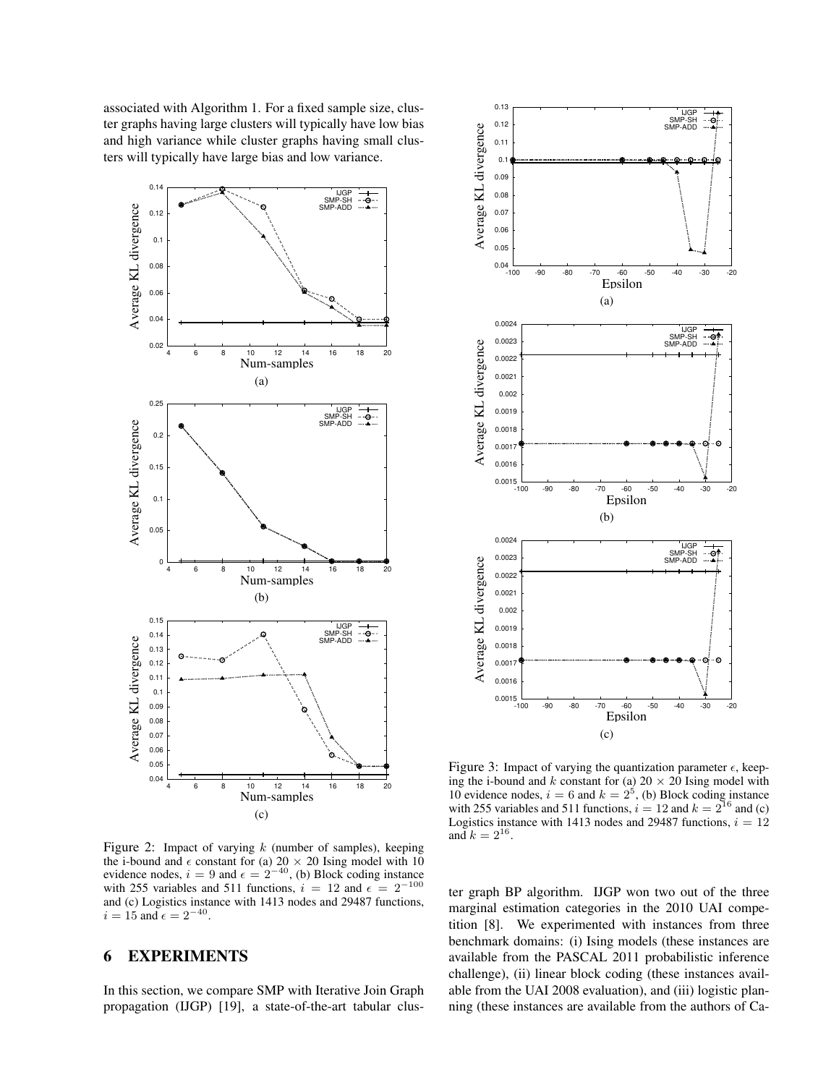associated with Algorithm 1. For a fixed sample size, cluster graphs having large clusters will typically have low bias and high variance while cluster graphs having small clusters will typically have large bias and low variance.



 0.13 IJGP<br>SMP-SH<br>SMP-ADD -oi 0.12 Average KL divergence Average KL divergence 0.11 0.1 0.09 0.08 0.07 0.06 0.05  $0.04$  –  $100$ -100 -90 -80 -70 -60 -50 -40 -30 -20 Epsilon (a) 0.0024 IJGP SMP-SH SMP-ADD <u> ले</u> 0.0023 Average KL divergence Average KL divergence 0.002  $0.002$  0.002 0.0019 0.0018 c 0.0017 0.0016 ــا 0.0015<br>100--100 -90 -80 -70 -60 -50 -40 -30 -20 Epsilon (b) 0.0024 IJGP<br>SMP-SH<br>SMP-ADD 0.0023 Average KL divergence Average KL divergence 0.002 0.0021 0.002 0.0019 0.0018 e 0.0017 0.0016  $0.0015$   $-100$ -100 -90 -80 -70 -60 -50 -40 -30 -20

Figure 2: Impact of varying  $k$  (number of samples), keeping the i-bound and  $\epsilon$  constant for (a)  $20 \times 20$  Ising model with 10 evidence nodes,  $i = 9$  and  $\epsilon = 2^{-40}$ , (b) Block coding instance with 255 variables and 511 functions,  $i = 12$  and  $\epsilon = 2^{-100}$ and (c) Logistics instance with 1413 nodes and 29487 functions,  $i = 15$  and  $\epsilon = 2^{-40}$ .

## 6 EXPERIMENTS

In this section, we compare SMP with Iterative Join Graph propagation (IJGP) [19], a state-of-the-art tabular clus-

Figure 3: Impact of varying the quantization parameter  $\epsilon$ , keeping the i-bound and k constant for (a)  $20 \times 20$  Ising model with 10 evidence nodes,  $i = 6$  and  $k = 2<sup>5</sup>$ , (b) Block coding instance with 255 variables and 511 functions,  $i = 12$  and  $k = 2^{16}$  and (c) Logistics instance with 1413 nodes and 29487 functions,  $i = 12$ and  $k = 2^{16}$ .

(c)

Epsilon

ter graph BP algorithm. IJGP won two out of the three marginal estimation categories in the 2010 UAI competition [8]. We experimented with instances from three benchmark domains: (i) Ising models (these instances are available from the PASCAL 2011 probabilistic inference challenge), (ii) linear block coding (these instances available from the UAI 2008 evaluation), and (iii) logistic planning (these instances are available from the authors of Ca-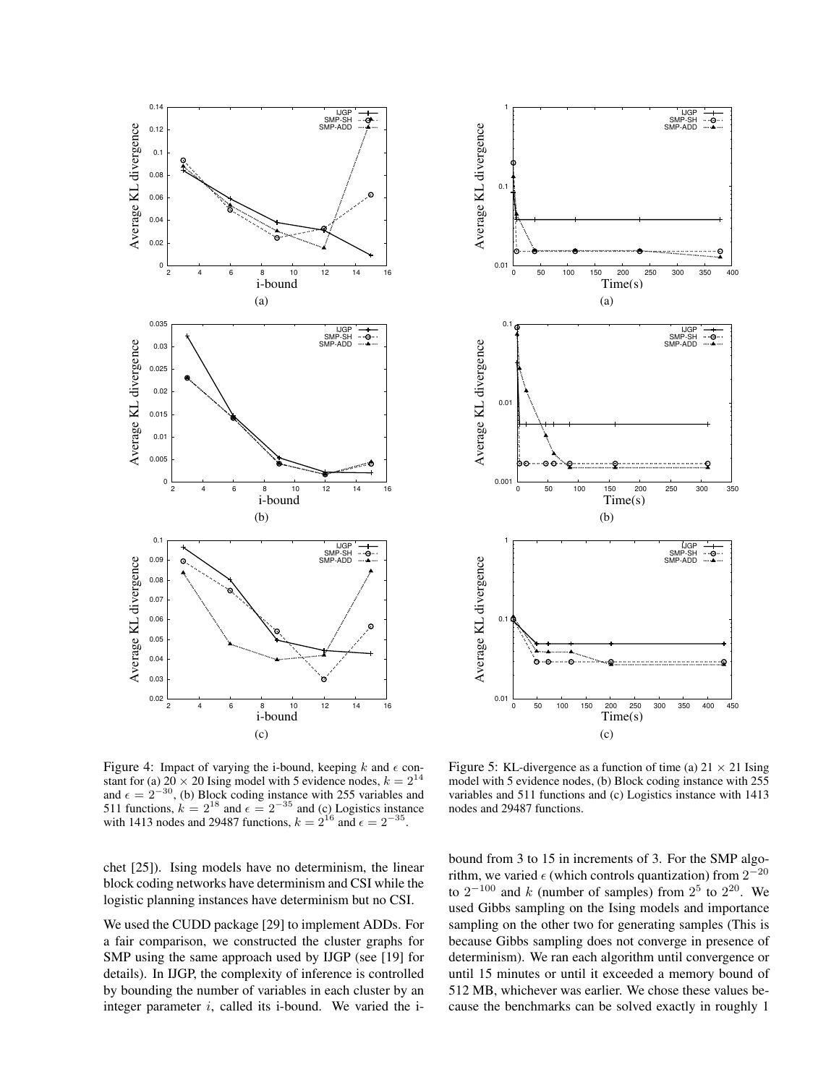



Figure 4: Impact of varying the i-bound, keeping  $k$  and  $\epsilon$  constant for (a)  $20 \times 20$  Ising model with 5 evidence nodes,  $k = 2^{14}$ and  $\epsilon = 2^{-30}$ , (b) Block coding instance with 255 variables and 511 functions,  $k = 2^{18}$  and  $\epsilon = 2^{-35}$  and (c) Logistics instance with 1413 nodes and 29487 functions,  $k = 2^{16}$  and  $\epsilon = 2^{-35}$ .

chet [25]). Ising models have no determinism, the linear block coding networks have determinism and CSI while the logistic planning instances have determinism but no CSI.

We used the CUDD package [29] to implement ADDs. For a fair comparison, we constructed the cluster graphs for SMP using the same approach used by IJGP (see [19] for details). In IJGP, the complexity of inference is controlled by bounding the number of variables in each cluster by an integer parameter  $i$ , called its i-bound. We varied the i-

Figure 5: KL-divergence as a function of time (a)  $21 \times 21$  Ising model with 5 evidence nodes, (b) Block coding instance with 255 variables and 511 functions and (c) Logistics instance with 1413 nodes and 29487 functions.

bound from 3 to 15 in increments of 3. For the SMP algorithm, we varied  $\epsilon$  (which controls quantization) from  $2^{-20}$ to  $2^{-100}$  and k (number of samples) from  $2^5$  to  $2^{20}$ . We used Gibbs sampling on the Ising models and importance sampling on the other two for generating samples (This is because Gibbs sampling does not converge in presence of determinism). We ran each algorithm until convergence or until 15 minutes or until it exceeded a memory bound of 512 MB, whichever was earlier. We chose these values because the benchmarks can be solved exactly in roughly 1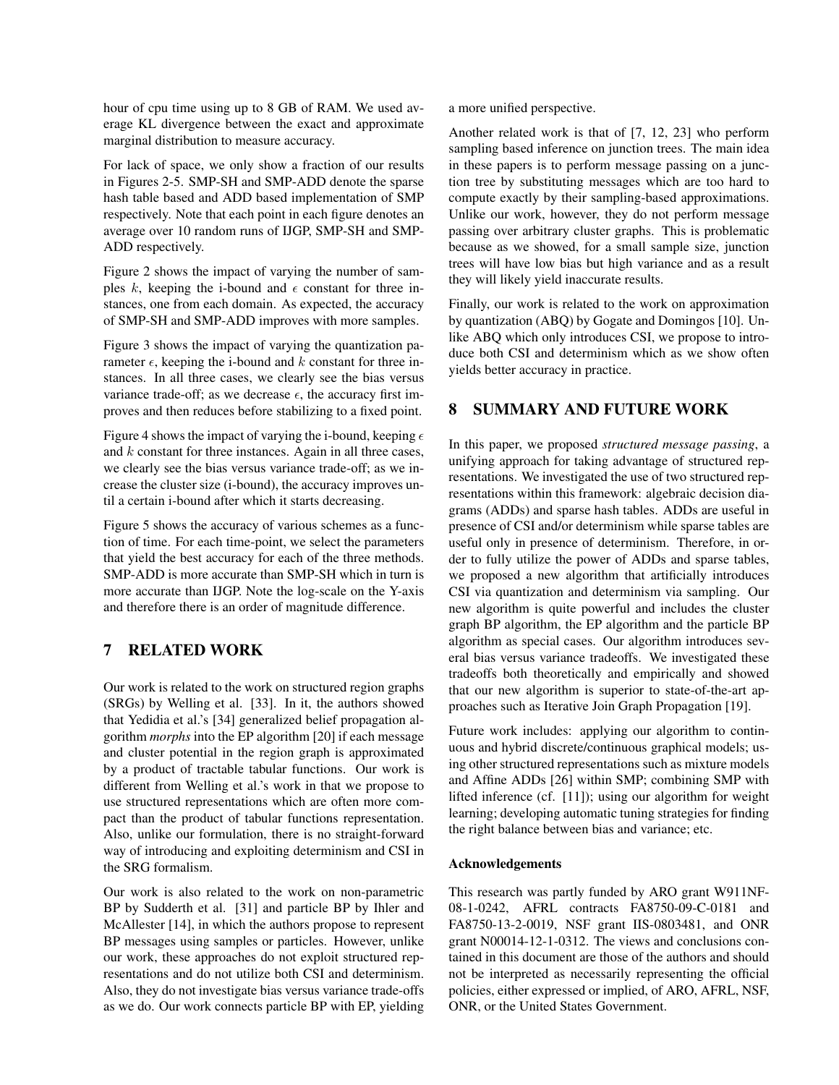hour of cpu time using up to 8 GB of RAM. We used average KL divergence between the exact and approximate marginal distribution to measure accuracy.

For lack of space, we only show a fraction of our results in Figures 2-5. SMP-SH and SMP-ADD denote the sparse hash table based and ADD based implementation of SMP respectively. Note that each point in each figure denotes an average over 10 random runs of IJGP, SMP-SH and SMP-ADD respectively.

Figure 2 shows the impact of varying the number of samples k, keeping the i-bound and  $\epsilon$  constant for three instances, one from each domain. As expected, the accuracy of SMP-SH and SMP-ADD improves with more samples.

Figure 3 shows the impact of varying the quantization parameter  $\epsilon$ , keeping the i-bound and k constant for three instances. In all three cases, we clearly see the bias versus variance trade-off; as we decrease  $\epsilon$ , the accuracy first improves and then reduces before stabilizing to a fixed point.

Figure 4 shows the impact of varying the i-bound, keeping  $\epsilon$ and  $k$  constant for three instances. Again in all three cases, we clearly see the bias versus variance trade-off; as we increase the cluster size (i-bound), the accuracy improves until a certain i-bound after which it starts decreasing.

Figure 5 shows the accuracy of various schemes as a function of time. For each time-point, we select the parameters that yield the best accuracy for each of the three methods. SMP-ADD is more accurate than SMP-SH which in turn is more accurate than IJGP. Note the log-scale on the Y-axis and therefore there is an order of magnitude difference.

# 7 RELATED WORK

Our work is related to the work on structured region graphs (SRGs) by Welling et al. [33]. In it, the authors showed that Yedidia et al.'s [34] generalized belief propagation algorithm *morphs* into the EP algorithm [20] if each message and cluster potential in the region graph is approximated by a product of tractable tabular functions. Our work is different from Welling et al.'s work in that we propose to use structured representations which are often more compact than the product of tabular functions representation. Also, unlike our formulation, there is no straight-forward way of introducing and exploiting determinism and CSI in the SRG formalism.

Our work is also related to the work on non-parametric BP by Sudderth et al. [31] and particle BP by Ihler and McAllester [14], in which the authors propose to represent BP messages using samples or particles. However, unlike our work, these approaches do not exploit structured representations and do not utilize both CSI and determinism. Also, they do not investigate bias versus variance trade-offs as we do. Our work connects particle BP with EP, yielding a more unified perspective.

Another related work is that of [7, 12, 23] who perform sampling based inference on junction trees. The main idea in these papers is to perform message passing on a junction tree by substituting messages which are too hard to compute exactly by their sampling-based approximations. Unlike our work, however, they do not perform message passing over arbitrary cluster graphs. This is problematic because as we showed, for a small sample size, junction trees will have low bias but high variance and as a result they will likely yield inaccurate results.

Finally, our work is related to the work on approximation by quantization (ABQ) by Gogate and Domingos [10]. Unlike ABQ which only introduces CSI, we propose to introduce both CSI and determinism which as we show often yields better accuracy in practice.

# 8 SUMMARY AND FUTURE WORK

In this paper, we proposed *structured message passing*, a unifying approach for taking advantage of structured representations. We investigated the use of two structured representations within this framework: algebraic decision diagrams (ADDs) and sparse hash tables. ADDs are useful in presence of CSI and/or determinism while sparse tables are useful only in presence of determinism. Therefore, in order to fully utilize the power of ADDs and sparse tables, we proposed a new algorithm that artificially introduces CSI via quantization and determinism via sampling. Our new algorithm is quite powerful and includes the cluster graph BP algorithm, the EP algorithm and the particle BP algorithm as special cases. Our algorithm introduces several bias versus variance tradeoffs. We investigated these tradeoffs both theoretically and empirically and showed that our new algorithm is superior to state-of-the-art approaches such as Iterative Join Graph Propagation [19].

Future work includes: applying our algorithm to continuous and hybrid discrete/continuous graphical models; using other structured representations such as mixture models and Affine ADDs [26] within SMP; combining SMP with lifted inference (cf. [11]); using our algorithm for weight learning; developing automatic tuning strategies for finding the right balance between bias and variance; etc.

### Acknowledgements

This research was partly funded by ARO grant W911NF-08-1-0242, AFRL contracts FA8750-09-C-0181 and FA8750-13-2-0019, NSF grant IIS-0803481, and ONR grant N00014-12-1-0312. The views and conclusions contained in this document are those of the authors and should not be interpreted as necessarily representing the official policies, either expressed or implied, of ARO, AFRL, NSF, ONR, or the United States Government.